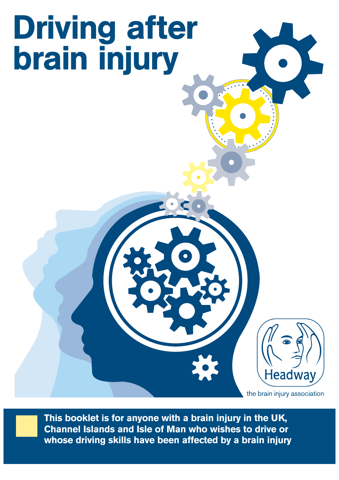# Driving after brain injury

the brain injury association

Headway

**This booklet is for anyone with a brain injury in the UK, Channel Islands and Isle of Man who wishes to drive or whose driving skills have been affected by a brain injury**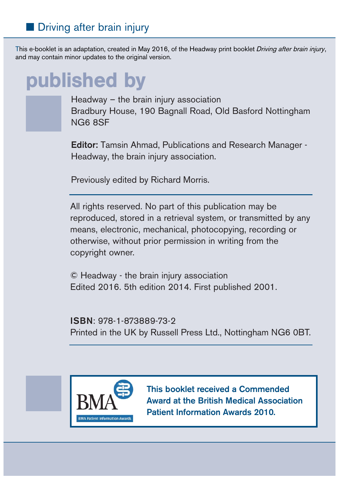### ■ Driving after brain injury

This e-booklet is an adaptation, created in May 2016, of the Headway print booklet Driving after brain injury, and may contain minor updates to the original version.

### published by



Headway – the brain injury association Bradbury House, 190 Bagnall Road, Old Basford Nottingham NG6 8SF

**Editor:** Tamsin Ahmad, Publications and Research Manager - Headway, the brain injury association.

Previously edited by Richard Morris.

All rights reserved. No part of this publication may be reproduced, stored in a retrieval system, or transmitted by any means, electronic, mechanical, photocopying, recording or otherwise, without prior permission in writing from the copyright owner.

© Headway - the brain injury association Edited 2016. 5th edition 2014. First published 2001.

**ISBN**: 978-1-873889-73-2 Printed in the UK by Russell Press Ltd., Nottingham NG6 0BT.



**This booklet received a Commended Award at the British Medical Association Patient Information Awards 2010.**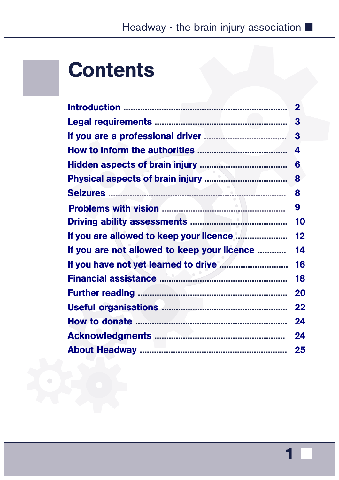### **Contents**

|                                             | $\overline{2}$ |
|---------------------------------------------|----------------|
|                                             | 3              |
|                                             | 3              |
|                                             | 4              |
|                                             | 6              |
|                                             | 8              |
|                                             | 8              |
|                                             | 9              |
|                                             | 10             |
| If you are allowed to keep your licence     | 12             |
| If you are not allowed to keep your licence | 14             |
|                                             | 16             |
|                                             | 18             |
|                                             | 20             |
|                                             | 22             |
|                                             | 24             |
|                                             | 24             |
|                                             | 25             |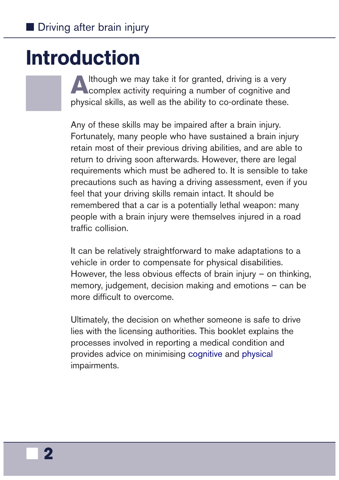### <span id="page-3-0"></span>Introduction

Although we may take it for granted, driving is a very<br>complex activity requiring a number of cognitive and physical skills, as well as the ability to co-ordinate these.

Any of these skills may be impaired after a brain injury. Fortunately, many people who have sustained a brain injury retain most of their previous driving abilities, and are able to return to driving soon afterwards. However, there are legal requirements which must be adhered to. It is sensible to take precautions such as having a driving assessment, even if you feel that your driving skills remain intact. It should be remembered that a car is a potentially lethal weapon: many people with a brain injury were themselves injured in a road traffic collision.

It can be relatively straightforward to make adaptations to a vehicle in order to compensate for physical disabilities. However, the less obvious effects of brain injury  $-$  on thinking, memory, judgement, decision making and emotions – can be more difficult to overcome.

Ultimately, the decision on whether someone is safe to drive lies with the licensing authorities. This booklet explains the processes involved in reporting a medical condition and provides advice on minimising [cognitive](https://www.headway.org.uk/about-brain-injury/individuals/effects-of-brain-injury/cognitive-effects/) and [physical](https://www.headway.org.uk/about-brain-injury/individuals/effects-of-brain-injury/physical-effects/) impairments.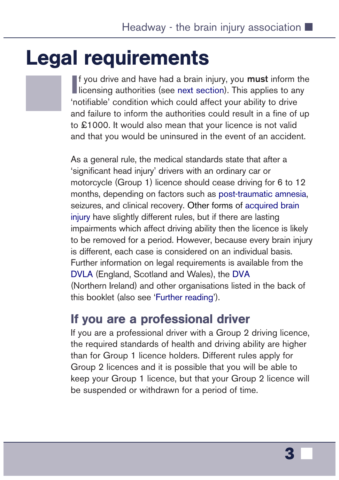### <span id="page-4-0"></span>Legal requirements

**I** f you drive and have had a brain injury, you **must** inform the licensing authorities (see next section). This applies to any **Ilicensing authorities (see [next section\)](#page-5-0). This applies to any** 'notifiable' condition which could affect your ability to drive and failure to inform the authorities could result in a fine of up to £1000. It would also mean that your licence is not valid and that you would be uninsured in the event of an accident.

As a general rule, the medical standards state that after a 'significant head injury' drivers with an ordinary car or motorcycle (Group 1) licence should cease driving for 6 to 12 months, depending on factors such as [post-traumatic](https://www.headway.org.uk/about-brain-injury/individuals/effects-of-brain-injury/post-traumatic-amnesia/) amnesia, seizures, and clinical recovery. Other forms of [acquired brain](https://www.gov.uk/health-conditions-and-driving)  [injury](https://www.gov.uk/health-conditions-and-driving) have slightly different rules, but if there are lasting impairments which affect driving ability then the licence is likely to be removed for a period. However, because every brain injury is different, each case is considered on an individual basis. Further information on legal requirements is available from the [DVLA](https://www.gov.uk/government/organisations/driver-and-vehicle-licensing-agency) (England, Scotland and Wales), the [DVA](https://www.nidirect.gov.uk/articles/contact-dva-complain-or-claim-compensation) (Northern Ireland) and other organisations listed in the back of this booklet (also see '[Further reading'](#page-21-0)).

### If you are a professional driver

If you are a professional driver with a Group 2 driving licence, the required standards of health and driving ability are higher than for Group 1 licence holders. Different rules apply for Group 2 licences and it is possible that you will be able to keep your Group 1 licence, but that your Group 2 licence will be suspended or withdrawn for a period of time.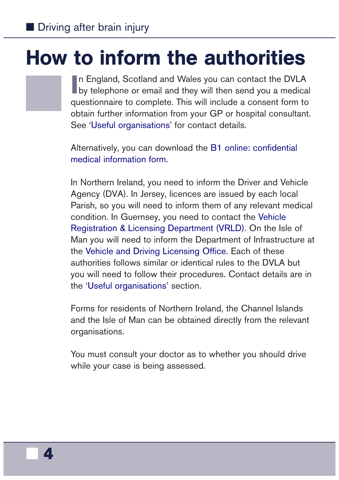### <span id="page-5-0"></span>How to inform the authorities

In England, Scotland and Wales you can contact the DVLA<br>by telephone or email and they will then send you a medical n England, Scotland and Wales you can contact the DVLA questionnaire to complete. This will include a consent form to obtain further information from your GP or hospital consultant. See ['Useful organisations](#page-23-0)' for contact details.

Alternatively, you can download th[e B1 online: confidential](https://www.gov.uk/government/publications/b1-online-confidential-medical-information) [medical information form](https://www.gov.uk/government/publications/b1-online-confidential-medical-information).

In Northern Ireland, you need to inform the Driver and Vehicle Agency (DVA). In Jersey, licences are issued by each local Parish, so you will need to inform them of any relevant medical condition. In Guernsey, you need to contact the [Vehicle](http://www.gov.gg/traffic) [Registration & Licensing Department](http://www.gov.gg/traffic) (VRLD). On the Isle of Man you will need to inform the Department of Infrastructure at the [Vehicle and Driving Licensing Office.](https://www.gov.im/driving-licences) Each of these authorities follows similar or identical rules to the DVLA but you will need to follow their procedures. Contact details are in the ['Useful organisations'](#page-23-0) section.

Forms for residents of Northern Ireland, the Channel Islands and the Isle of Man can be obtained directly from the relevant organisations.

You must consult your doctor as to whether you should drive while your case is being assessed.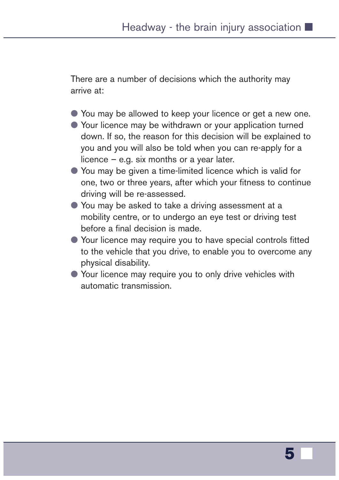There are a number of decisions which the authority may arrive at:

- You may be allowed to keep your licence or get a new one.
- Your licence may be withdrawn or your application turned down. If so, the reason for this decision will be explained to you and you will also be told when you can re-apply for a licence – e.g. six months or a year later.
- You may be given a time-limited licence which is valid for one, two or three years, after which your fitness to continue driving will be re-assessed.
- You may be asked to take a driving assessment at a mobility centre, or to undergo an eye test or driving test before a final decision is made.
- Your licence may require you to have special controls fitted to the vehicle that you drive, to enable you to overcome any physical disability.
- Your licence may require you to only drive vehicles with automatic transmission.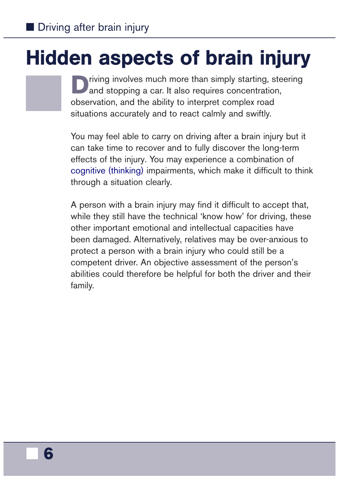# <span id="page-7-0"></span>Hidden aspects of brain injury

riving involves much more than simply starting, steering and stopping a car. It also requires concentration, observation, and the ability to interpret complex road situations accurately and to react calmly and swiftly.

You may feel able to carry on driving after a brain injury but it can take time to recover and to fully discover the long-term effects of the injury. You may experience a combination of [cognitive \(thinking\)](https://www.headway.org.uk/about-brain-injury/individuals/effects-of-brain-injury/cognitive-effects/) impairments, which make it difficult to think through a situation clearly.

A person with a brain injury may find it difficult to accept that, while they still have the technical 'know how' for driving, these other important emotional and intellectual capacities have been damaged. Alternatively, relatives may be over-anxious to protect a person with a brain injury who could still be a competent driver. An objective assessment of the person's abilities could therefore be helpful for both the driver and their family.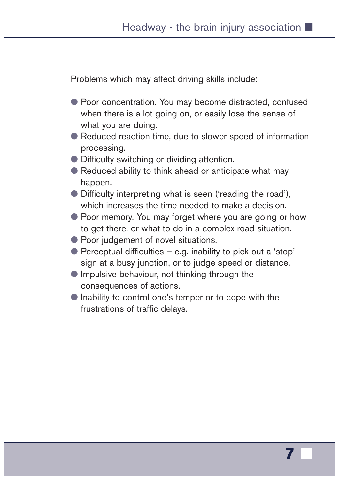Problems which may affect driving skills include:

- Poor concentration. You may become distracted, confused when there is a lot going on, or easily lose the sense of what you are doing.
- Reduced reaction time, due to slower speed of information processing.
- Difficulty switching or dividing attention.
- Reduced ability to think ahead or anticipate what may happen.
- Difficulty interpreting what is seen ('reading the road'), which increases the time needed to make a decision.
- Poor memory. You may forget where you are going or how to get there, or what to do in a complex road situation.
- Poor judgement of novel situations.
- $\bullet$  Perceptual difficulties e.g. inability to pick out a 'stop' sign at a busy junction, or to judge speed or distance.
- Impulsive behaviour, not thinking through the consequences of actions.
- Inability to control one's temper or to cope with the frustrations of traffic delays.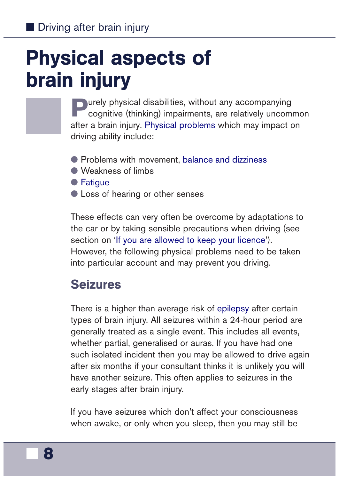# <span id="page-9-0"></span>Physical aspects of brain injury

**Purely physical disabilities, without any accompanying cognitive (thinking) impairments, are relatively uncommon** after a brain injury. [Physical problems](https://www.headway.org.uk/about-brain-injury/individuals/effects-of-brain-injury/physical-effects/) which may impact on driving ability include:

- Problems with movement, [balance and](https://www.headway.org.uk/media/2786/balance-problems-and-dizziness-after-brain-injury-causes-and-treatment.pdf) dizziness
- Weakness of limbs
- [Fatigue](https://shop.headway.org.uk/shop/managing-fatigue-after-brain-injury/c-24/p-241)
- Loss of hearing or other senses

These effects can very often be overcome by adaptations to the car or by taking sensible precautions when driving (see section on ['If you are allowed to keep your licence](#page-13-0)'). However, the following physical problems need to be taken into particular account and may prevent you driving.

### Seizures

There is a higher than average risk of [epilepsy](https://www.headway.org.uk/media/2800/epilepsy.pdf) after certain types of brain injury. All seizures within a 24-hour period are generally treated as a single event. This includes all events, whether partial, generalised or auras. If you have had one such isolated incident then you may be allowed to drive again after six months if your consultant thinks it is unlikely you will have another seizure. This often applies to seizures in the early stages after brain injury.

If you have seizures which don't affect your consciousness when awake, or only when you sleep, then you may still be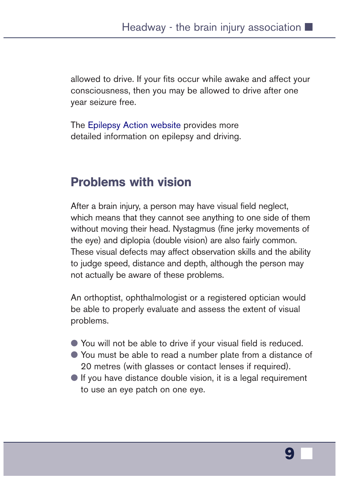<span id="page-10-0"></span>allowed to drive. If your fits occur while awake and affect your consciousness, then you may be allowed to drive after one year seizure free.

The [Epilepsy Action website](https://www.epilepsy.org.uk/info/driving) provides more detailed information on epilepsy and driving.

### Problems with vision

After a brain injury, a person may have visual field neglect, which means that they cannot see anything to one side of them without moving their head. Nystagmus (fine jerky movements of the eye) and diplopia (double vision) are also fairly common. These visual defects may affect observation skills and the ability to judge speed, distance and depth, although the person may not actually be aware of these problems.

An orthoptist, ophthalmologist or a registered optician would be able to properly evaluate and assess the extent of visual problems.

- You will not be able to drive if your visual field is reduced.
- You must be able to read a number plate from a distance of 20 metres (with glasses or contact lenses if required).
- $\bullet$  If you have distance double vision, it is a legal requirement to use an eye patch on one eye.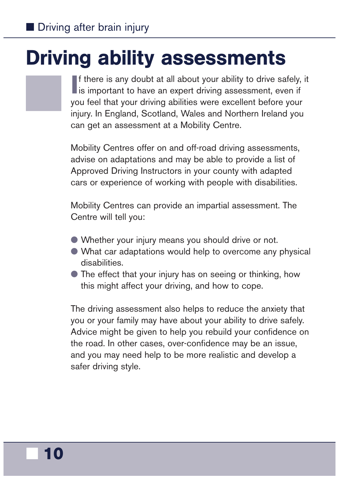## <span id="page-11-0"></span>Driving ability assessments

If there is any doubt at all about your ability to drive safely is important to have an expert driving assessment, even if f there is any doubt at all about your ability to drive safely, it you feel that your driving abilities were excellent before your injury. In England, Scotland, Wales and Northern Ireland you can get an assessment at a Mobility Centre.

Mobility Centres offer on and off-road driving assessments, advise on adaptations and may be able to provide a list of Approved Driving Instructors in your county with adapted cars or experience of working with people with disabilities.

Mobility Centres can provide an impartial assessment. The Centre will tell you:

- Whether your injury means you should drive or not.
- What car adaptations would help to overcome any physical disabilities.
- The effect that your injury has on seeing or thinking, how this might affect your driving, and how to cope.

The driving assessment also helps to reduce the anxiety that you or your family may have about your ability to drive safely. Advice might be given to help you rebuild your confidence on the road. In other cases, over-confidence may be an issue, and you may need help to be more realistic and develop a safer driving style.

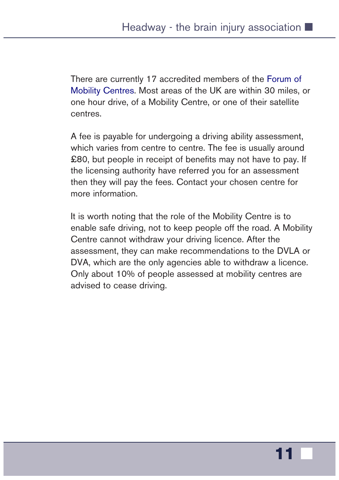There are currently 17 accredited members of the [Forum of](http://www.mobility-centres.org.uk/) [Mobility Centres](http://www.mobility-centres.org.uk/). Most areas of the UK are within 30 miles, or one hour drive, of a Mobility Centre, or one of their satellite centres.

A fee is payable for undergoing a driving ability assessment, which varies from centre to centre. The fee is usually around £80, but people in receipt of benefits may not have to pay. If the licensing authority have referred you for an assessment then they will pay the fees. Contact your chosen centre for more information.

It is worth noting that the role of the Mobility Centre is to enable safe driving, not to keep people off the road. A Mobility Centre cannot withdraw your driving licence. After the assessment, they can make recommendations to the DVLA or DVA, which are the only agencies able to withdraw a licence. Only about 10% of people assessed at mobility centres are advised to cease driving.

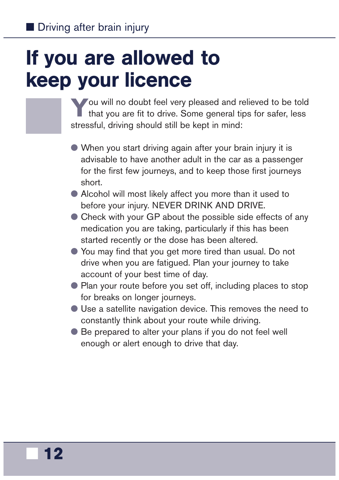# <span id="page-13-0"></span>If you are allowed to keep your licence

You will no doubt feel very pleased and relieved to be told that you are fit to drive. Some general tips for safer, less stressful, driving should still be kept in mind:

- When you start driving again after your brain injury it is advisable to have another adult in the car as a passenger for the first few journeys, and to keep those first journeys short.
- Alcohol will most likely affect you more than it used to before your injury. NEVER DRINK AND DRIVE.
- Check with your GP about the possible side effects of any medication you are taking, particularly if this has been started recently or the dose has been altered.
- You may find that you get more tired than usual. Do not drive when you are fatigued. Plan your journey to take account of your best time of day.
- Plan your route before you set off, including places to stop for breaks on longer journeys.
- Use a satellite navigation device. This removes the need to constantly think about your route while driving.
- Be prepared to alter your plans if you do not feel well enough or alert enough to drive that day.

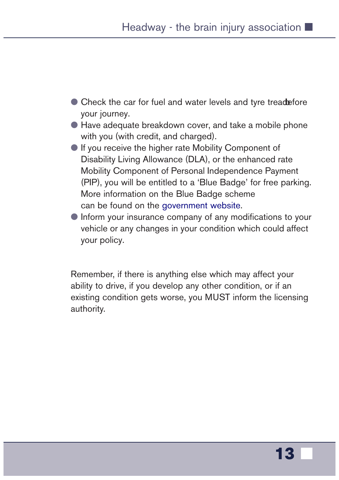- Check the car for fuel and water levels and tyre treadefore your journey.
- Have adequate breakdown cover, and take a mobile phone with you (with credit, and charged).
- If you receive the higher rate Mobility Component of Disability Living Allowance (DLA), or the enhanced rate Mobility Component of Personal Independence Payment (PIP), you will be entitled to a 'Blue Badge' for free parking. More information on the Blue Badge scheme can be found on the [government website.](https://www.gov.uk/apply-blue-badge)
- Inform your insurance company of any modifications to your vehicle or any changes in your condition which could affect your policy.

Remember, if there is anything else which may affect your ability to drive, if you develop any other condition, or if an existing condition gets worse, you MUST inform the licensing authority.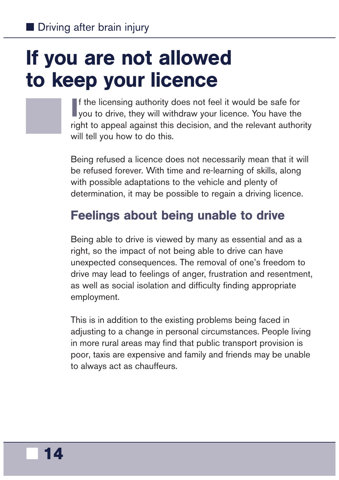## <span id="page-15-0"></span>If you are not allowed to keep your licence

If the licensing authority does not feel it would be safe for you to drive, they will withdraw your licence. You have the f the licensing authority does not feel it would be safe for right to appeal against this decision, and the relevant authority will tell you how to do this.

Being refused a licence does not necessarily mean that it will be refused forever. With time and re-learning of skills, along with possible adaptations to the vehicle and plenty of determination, it may be possible to regain a driving licence.

### Feelings about being unable to drive

Being able to drive is viewed by many as essential and as a right, so the impact of not being able to drive can have unexpected consequences. The removal of one's freedom to drive may lead to feelings of anger, frustration and resentment, as well as social isolation and difficulty finding appropriate employment.

This is in addition to the existing problems being faced in adjusting to a change in personal circumstances. People living in more rural areas may find that public transport provision is poor, taxis are expensive and family and friends may be unable to always act as chauffeurs.

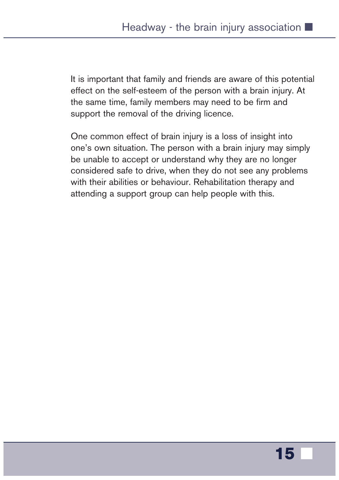It is important that family and friends are aware of this potential effect on the self-esteem of the person with a brain injury. At the same time, family members may need to be firm and support the removal of the driving licence.

One common effect of brain injury is a loss of insight into one's own situation. The person with a brain injury may simply be unable to accept or understand why they are no longer considered safe to drive, when they do not see any problems with their abilities or behaviour. Rehabilitation therapy and attending a support group can help people with this.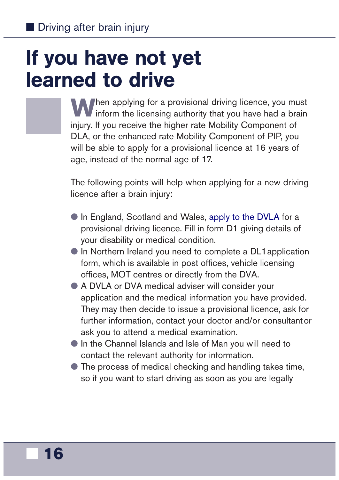## <span id="page-17-0"></span>If you have not yet learned to drive

When applying for a provisional driving licence, you must<br>inform the licensing authority that you have had a brain injury. If you receive the higher rate Mobility Component of DLA, or the enhanced rate Mobility Component of PIP, you will be able to apply for a provisional licence at 16 years of age, instead of the normal age of 17.

The following points will help when applying for a new driving licence after a brain injury:

- In England, Scotland and Wales, [apply to the DVLA](https://www.gov.uk/apply-first-provisional-driving-licence) for a provisional driving licence. Fill in form D1 giving details of your disability or medical condition.
- **In Northern Ireland you need to complete a DL1 application** form, which is available in post offices, vehicle licensing offices, MOT centres or directly from the DVA.
- A DVLA or DVA medical adviser will consider your application and the medical information you have provided. They may then decide to issue a provisional licence, ask for further information, contact your doctor and/or consultantor ask you to attend a medical examination.
- In the Channel Islands and Isle of Man you will need to contact the relevant authority for information.
- The process of medical checking and handling takes time, so if you want to start driving as soon as you are legally

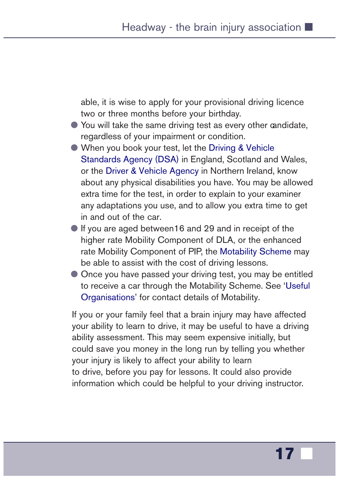able, it is wise to apply for your provisional driving licence two or three months before your birthday.

- You will take the same driving test as every other candidate, regardless of your impairment or condition.
- When you book your test, let the Driving & Vehicle [Standards Agency](https://www.gov.uk/government/organisations/driver-and-vehicle-standards-agency) (DSA) in England, Scotland and Wales, or the D[river & Vehicle Agency](https://www.nidirect.gov.uk/contacts/contacts-az/driver-vehicle-agency-driver-licensing) in Northern Ireland, know about any physical disabilities you have. You may be allowed extra time for the test, in order to explain to your examiner any adaptations you use, and to allow you extra time to get in and out of the car.
- If you are aged between16 and 29 and in receipt of the higher rate Mobility Component of DLA, or the enhanced rate Mobility Component of PIP, the [Motability Scheme](http://www.motability.co.uk/) may be able to assist with the cost of driving lessons.
- Once you have passed your driving test, you may be entitled to receive a car through the Motability Scheme. See '[Useful](#page-23-0) [Organisations' f](#page-23-0)or contact details of Motability.

If you or your family feel that a brain injury may have affected your ability to learn to drive, it may be useful to have a driving ability assessment. This may seem expensive initially, but could save you money in the long run by telling you whether your injury is likely to affect your ability to learn to drive, before you pay for lessons. It could also provide information which could be helpful to your driving instructor.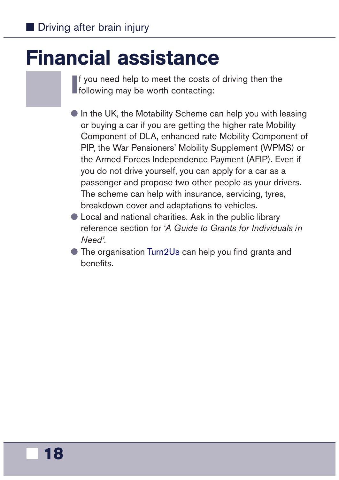### <span id="page-19-0"></span>Financial assistance

**I** f you need help to meet the costs of following may be worth contacting: f you need help to meet the costs of driving then the

- In the UK, the Motability Scheme can help you with leasing or buying a car if you are getting the higher rate Mobility Component of DLA, enhanced rate Mobility Component of PIP, the War Pensioners' Mobility Supplement (WPMS) or the Armed Forces Independence Payment (AFIP). Even if you do not drive yourself, you can apply for a car as a passenger and propose two other people as your drivers. The scheme can help with insurance, servicing, tyres, breakdown cover and adaptations to vehicles.
- Local and national charities. Ask in the public library reference section for *'A Guide to Grants for Individuals in Need'*.
- The organisation [Turn2Us](https://www.turn2us.org.uk/) can help you find grants and benefits.

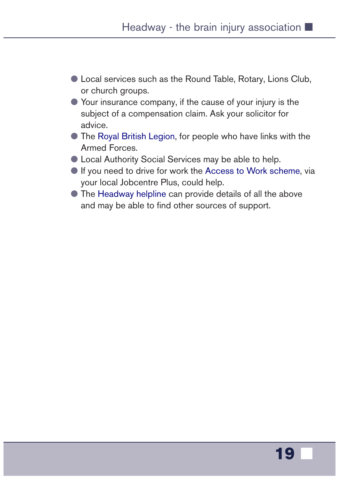- Local services such as the Round Table, Rotary, Lions Club, or church groups.
- Your insurance company, if the cause of your injury is the subject of a compensation claim. Ask your solicitor for advice.
- The [Royal British Legion,](http://www.britishlegion.org.uk/) for people who have links with the Armed Forces.
- Local Authority Social Services may be able to help.
- If you need to drive for work the [Access to Work scheme,](https://www.gov.uk/access-to-work/overview) via your local Jobcentre Plus, could help.
- The [Headway helpline](https://www.headway.org.uk/supporting-you/helpline/) can provide details of all the above and may be able to find other sources of support.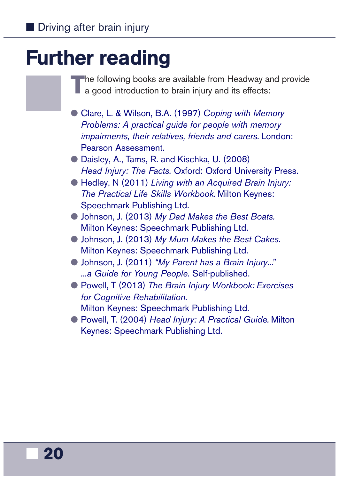## <span id="page-21-0"></span>Further reading

**T**he following books are available from Headway and provide  $\blacksquare$  a good introduction to brain injury and its effects:

- Clare, L. & Wilson, B.A. (1997) *Coping with Memory [Problems: A practical guide for people with memory](https://shop.headway.org.uk/shop/coping-with-memory-problems/c-24/p-234) impairments, their relatives, friends and carers.* London: Pearson Assessment.
- Daisley, [A., Tams, R. and Kischka, U. \(2008\)](https://shop.headway.org.uk/shop/head-injury-the-facts/c-24/p-237) *Head Injury: The Facts.* Oxford: Oxford University Press.
- Hedley, N (2011) *[Living with an Acquired Brain Injury:](https://shop.headway.org.uk/shop/living-with-an-acquired-brain-injury/c-24/p-239) The Practical Life Skills Workbook.* Milton Keynes: Speechmark Publishing Ltd.
- Johnson, J. (2013) *My Dad Makes the Best Boats.* [Milton Keynes: Speechmark Publishing Ltd.](https://shop.headway.org.uk/shop/my-dad-makes-the-best-boats/c-24/p-245)
- Johnson, J. (2013) *My Mum Makes the Best Cakes.* [Milton Keynes: Speechmark Publishing Ltd.](https://shop.headway.org.uk/shop/my-mum-makes-the-best-cakes/c-24/p-246)
- Johnson, J. (2011) *["My Parent has a Brain Injury..."](https://shop.headway.org.uk/shop/my-parent-has-a-brain-injury/c-24/p-247) ...a Guide for Young People.* Self-published.
- Powell, T (2013) *The Brain Injury Workbook: Exercises for Cognitive Rehabilitation.*
	- [Milton Keynes: Speechmark Publishing Ltd.](https://shop.headway.org.uk/shop/the-brain-injury-workbook/c-24/p-253)
- Powell, T. (2004) *Head Injury: A Practical Guide.* Milton [Keynes: Speechmark Publishing Ltd.](https://shop.headway.org.uk/shop/head-injury-a-practical-guide/c-24/p-236)

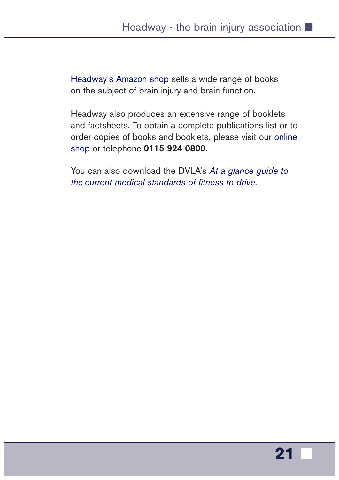[Headway's Amazon shop](https://astore.amazon.co.uk/headwathebrai-21) sells a wide range of books on the subject of brain injury and brain function.

Headway also produces an extensive range of booklets and factsheets. To obtain a complete publications list or to order copies of books and booklets, please visit our [online](https://shop.headway.org.uk/shop/publications/c-24/c-76)  [shop](https://shop.headway.org.uk/) or telephone **0115 924 0800**.

You can also download the DVLA's *[At a glance guide to](https://www.gov.uk/search?q=fitness+to+drive)  the [current medical standards of fitness to drive](https://www.gov.uk/search?q=fitness+to+drive)*.

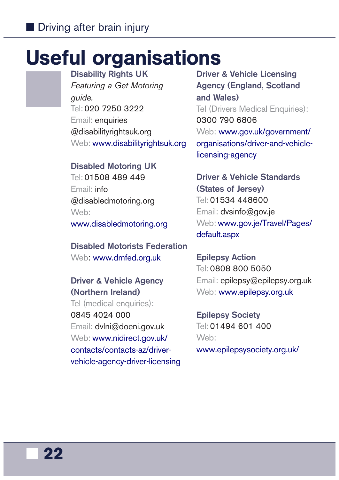### <span id="page-23-0"></span>Useful organisations

**Disability Rights UK** *Featuring a Get Motoring guide.* Tel: 020 7250 3222 Email: enquiries @disabilityrightsuk.org Web: [www.disabilityrightsuk.org](http://www.disabilityrightsuk.org/)

#### **Disabled Motoring UK**

Tel: 01508 489 449 Email: info @disabledmotoring.org Web: [www.disabledmotoring.org](http://www.disabledmotoring.org/)

**Disabled Motorists Federation** Web: [www.dmfed.org.uk](http://www.dmfed.org.uk/)

#### **Driver & Vehicle Agency (Northern Ireland)**

Tel (medical enquiries): 0845 4024 000 Email: dvlni@doeni.gov.uk Web: www.nidirect.gov.uk/ contacts/contacts-az/driver[vehicle-agency-driver-licensing](https://www.nidirect.gov.uk/contacts/contacts-az/driver-vehicle-agency-driver-licensing)

**Driver & Vehicle Licensing Agency (England, Scotland and Wales)** Tel (Drivers Medical Enquiries): 0300 790 6806 Web: www.gov.uk/government/ [organisations/driver-and-vehicle](https://www.gov.uk/government/organisations/driver-and-vehicle-licensing-agency)licensing-agency

**Driver & Vehicle Standards (States of Jersey)** Tel: 01534 448600 Email: dvsinfo@gov.je Web: [www.gov.je/Travel/Pages/](http://www.gov.je/Travel/Pages/default.aspx) [default.aspx](http://www.gov.je/Travel/Pages/default.aspx)

**Epilepsy Action** Tel: 0808 800 5050 Email: epilepsy@epilepsy.org.uk Web: [www.epilepsy.org.uk](https://www.epilepsy.org.uk/)

**Epilepsy Society** Tel: 01494 601 400 Web:

[www.epilepsysociety.org.uk/](https://www.epilepsysociety.org.uk/)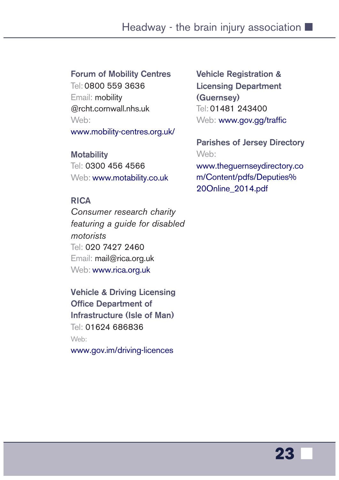#### **Forum of Mobility Centres**

Tel: 0800 559 3636 Email: mobility @rcht.cornwall.nhs.uk Web: [www.mobility-centres.org.uk/](http://www.mobility-centres.org.uk/)

#### **Motability**

Tel: 0300 456 4566 Web: [www.motability.co.uk](http://www.motability.co.uk/)

#### **RICA**

*Consumer research charity featuring a guide for disabled motorists* Tel: 020 7427 2460 Email: mail@rica.org.uk Web: [www.rica.org.uk](http://www.rica.org.uk/)

**Vehicle & Driving Licensing Office Department of Infrastructure (Isle of Man)** Tel: 01624 686836 Web:

[www.gov.im/driving-licences](https://www.gov.im/driving-licences)

**Vehicle Registration & Licensing Department (Guernsey)** Tel: 01481 243400 Web: [www.gov.gg/traffic](http://www.gov.gg/traffic)

**Parishes of Jersey Directory** Web:

www.theguernseydirectory.co [m/Content/pdfs/Deputies%](https://www.theguernseydirectory.com/Content/pdfs/Deputies%20Online_2014.pdf) 20Online\_2014.pdf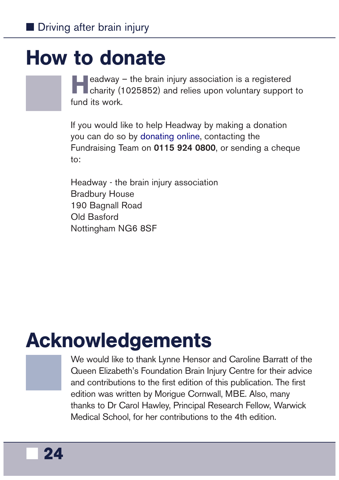### <span id="page-25-0"></span>How to donate

**Headway – the brain injury association is a registered charity (1025852) and relies upon voluntary support to** fund its work.

If you would like to help Headway by making a donation you can do so by [donating online,](https://www.headway.org.uk/donate/) contacting the Fundraising Team on **0115 924 0800**, or sending a cheque to:

Headway - the brain injury association Bradbury House 190 Bagnall Road Old Basford Nottingham NG6 8SF

### Acknowledgements

We would like to thank Lynne Hensor and Caroline Barratt of the Queen Elizabeth's Foundation Brain Injury Centre for their advice and contributions to the first edition of this publication. The first edition was written by Morigue Cornwall, MBE. Also, many thanks to Dr Carol Hawley, Principal Research Fellow, Warwick Medical School, for her contributions to the 4th edition.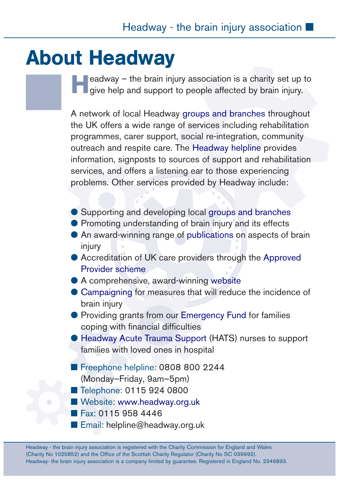### <span id="page-26-0"></span>About Headway

eadway – the brain injury association is a charity set up to give help and support to people affected by brain injury.

A network of local Headway g[roups and](https://www.headway.org.uk/supporting-you/in-your-area/) branches throughout the UK offers a wide range of services including rehabilitation programmes, carer support, social re-integration, community outreach and respite care. The [Headway helpline](https://www.headway.org.uk/supporting-you/helpline/) provides information, signposts to sources of support and rehabilitation services, and offers a listening ear to those experiencing problems. Other services provided by Headway include:

- Supporting and developing local g[roups and](https://www.headway.org.uk/supporting-you/in-your-area/groups-and-branches/) branches
- Promoting understanding of brain injury and its effects
- An award-winning range of [publications](https://shop.headway.org.uk/shop/publications/c-24/c-76) on aspects of brain injury
- Accreditation of UK care providers through the [Approved](https://www.headway.org.uk/supporting-you/in-your-area/approved-care-providers/) [Provider scheme](https://www.headway.org.uk/supporting-you/in-your-area/approved-care-providers/)
- A comprehensive, award-winning [website](www.headway.org.uk)
- [Campaigning](https://www.headway.org.uk/get-involved/campaigns/) for measures that will reduce the incidence of brain injury
- Providing grants from our [Emergency Fund](https://www.headway.org.uk/supporting-you/headway-emergency-fund/) for families coping with financial difficulties
- [Headway Acute Trauma Support](https://www.headway.org.uk/supporting-you/headway-acute-trauma-support/) (HATS) nurses to support families with loved ones in hospital
- Freephone helpline: 0808 800 2244
	- (Monday–Friday, 9am–5pm)
- Telephone: 0115 924 0800
- Website: <www.headway.org.uk>
- Fax: 0115 958 4446
- Email: helpline@headway.org.uk